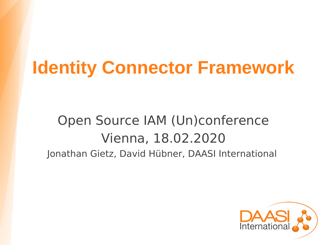# **Identity Connector Framework**

### Open Source IAM (Un)conference Vienna, 18.02.2020 Jonathan Gietz, David Hübner, DAASI International

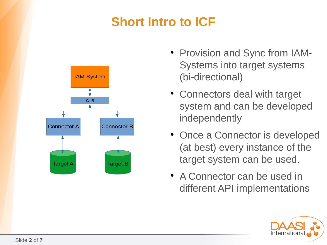#### **Short Intro to ICF**



- Provision and Sync from IAM-Systems into target systems (bi-directional)
- Connectors deal with target system and can be developed independently
- Once a Connector is developed (at best) every instance of the target system can be used.
- A Connector can be used in different API implementations

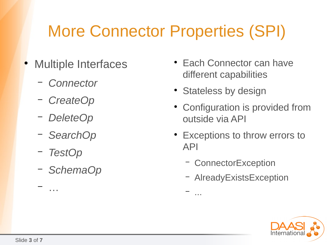## More Connector Properties (SPI)

- Multiple Interfaces
	- *Connector*
	- *CreateOp*
	- *DeleteOp*
	- *SearchOp*
	- *TestOp*

– …

– *SchemaOp*

- Each Connector can have different capabilities
- Stateless by design
- Configuration is provided from outside via API
- Exceptions to throw errors to API
	- ConnectorException

– ...

– AlreadyExistsException

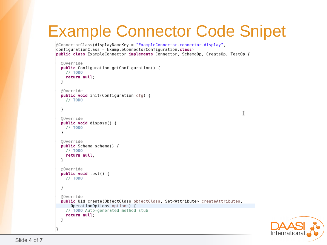### Example Connector Code Snipet

```
aConnectorClass(displayNameKey = "ExampleConnector.connector.display"
contigurationClass = ExampleConnectorConfiguration.class)public class ExampleConnector implements Connector, SchemaOp, CreateOp, TestOp {
```

```
@Override
public Configuration getConfiguration() {
  // TODOreturn null;
\mathcal{F}@Override
public void init(Configuration cfg) {
  // TODO\mathcal{F}@Override
public void dispose() {
  // TODO<sup>}</sup>
@Override
public Schema schema() \{// TODOreturn null;
}
@Override
public void test() {
  // TODO}
@Override
public Uid create(ObjectClass objectClass, Set<Attribute> createAttributes,
    DperationOptions options) {
  // TODO Auto-generated method stub
  return null;
\mathcal{F}
```


}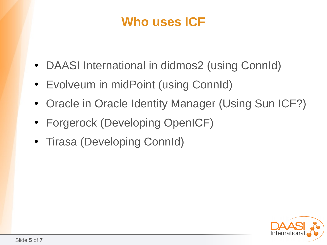#### **Who uses ICF**

- DAASI International in didmos2 (using ConnId)
- Evolveum in midPoint (using ConnId)
- Oracle in Oracle Identity Manager (Using Sun ICF?)
- Forgerock (Developing OpenICF)
- Tirasa (Developing ConnId)

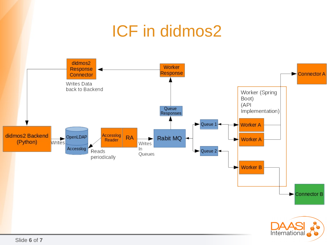#### ICF in didmos2didmos2 Worker Response Response Connector A Connector Writes Data back to Backend Worker (Spring Boot)  $(API)$ Queue Implementation) Responses Queue 1 **Worker A** ₩ Writes didmos2 Backend Accessiog **RA** Rabit MQ  $\leftarrow$ ► **Worker A** Reader ₩ (Python) Writes Accesslog In Reads  $\blacktriangleright$  Queue 2 Queues periodically **Worker B** Connector B International